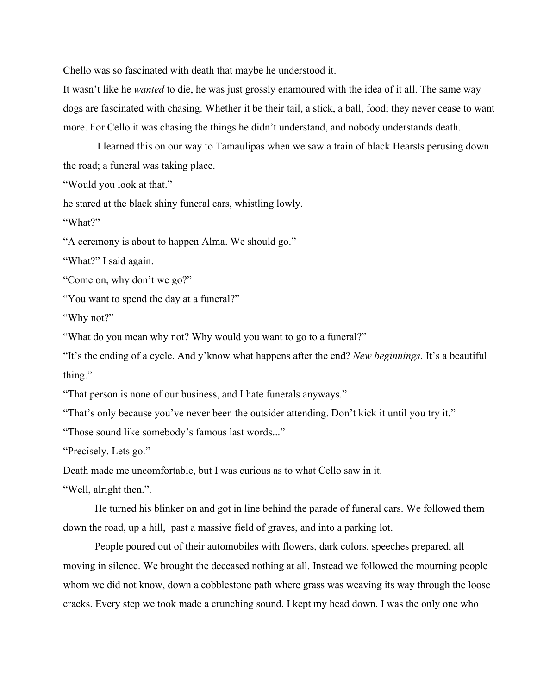Chello was so fascinated with death that maybe he understood it.

It wasn't like he *wanted* to die, he was just grossly enamoured with the idea of it all. The same way dogs are fascinated with chasing. Whether it be their tail, a stick, a ball, food; they never cease to want more. For Cello it was chasing the things he didn't understand, and nobody understands death.

I learned this on our way to Tamaulipas when we saw a train of black Hearsts perusing down the road; a funeral was taking place.

"Would you look at that."

he stared at the black shiny funeral cars, whistling lowly.

"What?"

"A ceremony is about to happen Alma. We should go."

"What?" I said again.

"Come on, why don't we go?"

"You want to spend the day at a funeral?"

"Why not?"

"What do you mean why not? Why would you want to go to a funeral?"

"It's the ending of a cycle. And y'know what happens after the end? *New beginnings*. It's a beautiful thing."

"That person is none of our business, and I hate funerals anyways."

"That's only because you've never been the outsider attending. Don't kick it until you try it."

"Those sound like somebody's famous last words..."

"Precisely. Lets go."

Death made me uncomfortable, but I was curious as to what Cello saw in it.

"Well, alright then.".

He turned his blinker on and got in line behind the parade of funeral cars. We followed them down the road, up a hill, past a massive field of graves, and into a parking lot.

People poured out of their automobiles with flowers, dark colors, speeches prepared, all moving in silence. We brought the deceased nothing at all. Instead we followed the mourning people whom we did not know, down a cobblestone path where grass was weaving its way through the loose cracks. Every step we took made a crunching sound. I kept my head down. I was the only one who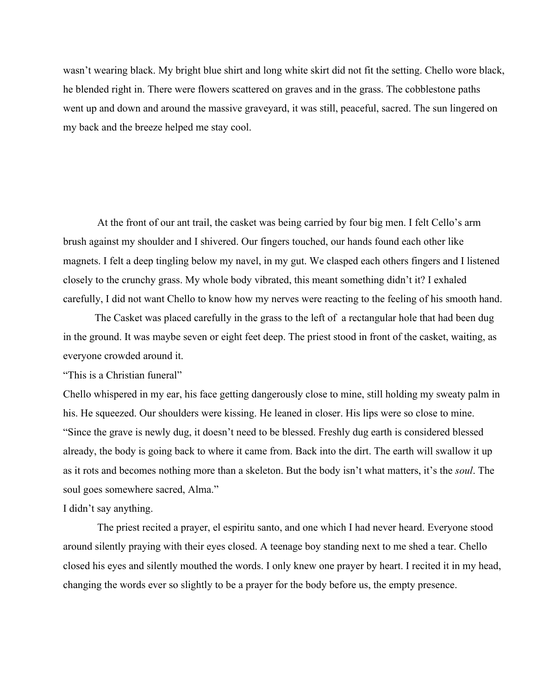wasn't wearing black. My bright blue shirt and long white skirt did not fit the setting. Chello wore black, he blended right in. There were flowers scattered on graves and in the grass. The cobblestone paths went up and down and around the massive graveyard, it was still, peaceful, sacred. The sun lingered on my back and the breeze helped me stay cool.

At the front of our ant trail, the casket was being carried by four big men. I felt Cello's arm brush against my shoulder and I shivered. Our fingers touched, our hands found each other like magnets. I felt a deep tingling below my navel, in my gut. We clasped each others fingers and I listened closely to the crunchy grass. My whole body vibrated, this meant something didn't it? I exhaled carefully, I did not want Chello to know how my nerves were reacting to the feeling of his smooth hand.

The Casket was placed carefully in the grass to the left of a rectangular hole that had been dug in the ground. It was maybe seven or eight feet deep. The priest stood in front of the casket, waiting, as everyone crowded around it.

"This is a Christian funeral"

Chello whispered in my ear, his face getting dangerously close to mine, still holding my sweaty palm in his. He squeezed. Our shoulders were kissing. He leaned in closer. His lips were so close to mine. "Since the grave is newly dug, it doesn't need to be blessed. Freshly dug earth is considered blessed already, the body is going back to where it came from. Back into the dirt. The earth will swallow it up as it rots and becomes nothing more than a skeleton. But the body isn't what matters, it's the *soul*. The soul goes somewhere sacred, Alma."

I didn't say anything.

The priest recited a prayer, el espiritu santo, and one which I had never heard. Everyone stood around silently praying with their eyes closed. A teenage boy standing next to me shed a tear. Chello closed his eyes and silently mouthed the words. I only knew one prayer by heart. I recited it in my head, changing the words ever so slightly to be a prayer for the body before us, the empty presence.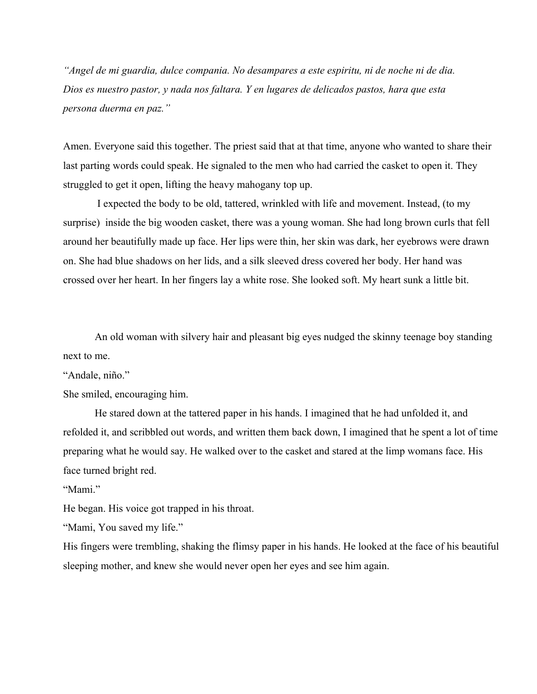*"Angel de mi guardia, dulce compania. No desampares a este espiritu, ni de noche ni de dia. Dios es nuestro pastor, y nada nos faltara. Y en lugares de delicados pastos, hara que esta persona duerma en paz."*

Amen. Everyone said this together. The priest said that at that time, anyone who wanted to share their last parting words could speak. He signaled to the men who had carried the casket to open it. They struggled to get it open, lifting the heavy mahogany top up.

I expected the body to be old, tattered, wrinkled with life and movement. Instead, (to my surprise) inside the big wooden casket, there was a young woman. She had long brown curls that fell around her beautifully made up face. Her lips were thin, her skin was dark, her eyebrows were drawn on. She had blue shadows on her lids, and a silk sleeved dress covered her body. Her hand was crossed over her heart. In her fingers lay a white rose. She looked soft. My heart sunk a little bit.

An old woman with silvery hair and pleasant big eyes nudged the skinny teenage boy standing next to me.

"Andale, niño."

She smiled, encouraging him.

He stared down at the tattered paper in his hands. I imagined that he had unfolded it, and refolded it, and scribbled out words, and written them back down, I imagined that he spent a lot of time preparing what he would say. He walked over to the casket and stared at the limp womans face. His face turned bright red.

"Mami"

He began. His voice got trapped in his throat.

"Mami, You saved my life."

His fingers were trembling, shaking the flimsy paper in his hands. He looked at the face of his beautiful sleeping mother, and knew she would never open her eyes and see him again.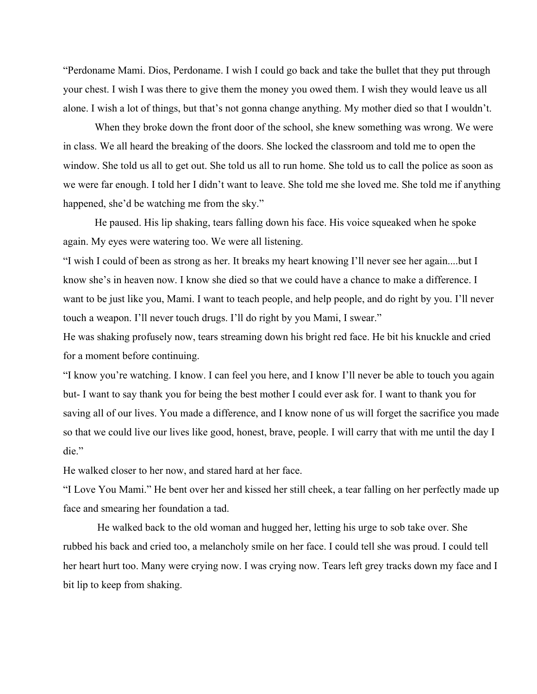"Perdoname Mami. Dios, Perdoname. I wish I could go back and take the bullet that they put through your chest. I wish I was there to give them the money you owed them. I wish they would leave us all alone. I wish a lot of things, but that's not gonna change anything. My mother died so that I wouldn't.

When they broke down the front door of the school, she knew something was wrong. We were in class. We all heard the breaking of the doors. She locked the classroom and told me to open the window. She told us all to get out. She told us all to run home. She told us to call the police as soon as we were far enough. I told her I didn't want to leave. She told me she loved me. She told me if anything happened, she'd be watching me from the sky."

He paused. His lip shaking, tears falling down his face. His voice squeaked when he spoke again. My eyes were watering too. We were all listening.

"I wish I could of been as strong as her. It breaks my heart knowing I'll never see her again....but I know she's in heaven now. I know she died so that we could have a chance to make a difference. I want to be just like you, Mami. I want to teach people, and help people, and do right by you. I'll never touch a weapon. I'll never touch drugs. I'll do right by you Mami, I swear."

He was shaking profusely now, tears streaming down his bright red face. He bit his knuckle and cried for a moment before continuing.

"I know you're watching. I know. I can feel you here, and I know I'll never be able to touch you again but I want to say thank you for being the best mother I could ever ask for. I want to thank you for saving all of our lives. You made a difference, and I know none of us will forget the sacrifice you made so that we could live our lives like good, honest, brave, people. I will carry that with me until the day I die."

He walked closer to her now, and stared hard at her face.

"I Love You Mami." He bent over her and kissed her still cheek, a tear falling on her perfectly made up face and smearing her foundation a tad.

He walked back to the old woman and hugged her, letting his urge to sob take over. She rubbed his back and cried too, a melancholy smile on her face. I could tell she was proud. I could tell her heart hurt too. Many were crying now. I was crying now. Tears left grey tracks down my face and I bit lip to keep from shaking.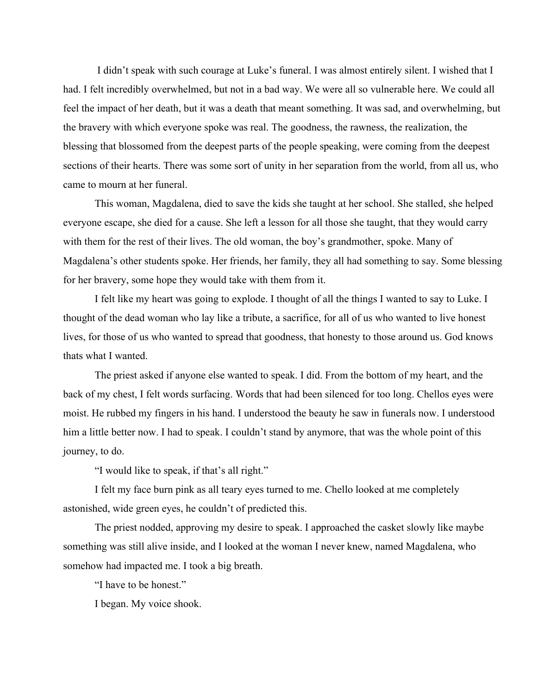I didn't speak with such courage at Luke's funeral. I was almost entirely silent. I wished that I had. I felt incredibly overwhelmed, but not in a bad way. We were all so vulnerable here. We could all feel the impact of her death, but it was a death that meant something. It was sad, and overwhelming, but the bravery with which everyone spoke was real. The goodness, the rawness, the realization, the blessing that blossomed from the deepest parts of the people speaking, were coming from the deepest sections of their hearts. There was some sort of unity in her separation from the world, from all us, who came to mourn at her funeral.

This woman, Magdalena, died to save the kids she taught at her school. She stalled, she helped everyone escape, she died for a cause. She left a lesson for all those she taught, that they would carry with them for the rest of their lives. The old woman, the boy's grandmother, spoke. Many of Magdalena's other students spoke. Her friends, her family, they all had something to say. Some blessing for her bravery, some hope they would take with them from it.

I felt like my heart was going to explode. I thought of all the things I wanted to say to Luke. I thought of the dead woman who lay like a tribute, a sacrifice, for all of us who wanted to live honest lives, for those of us who wanted to spread that goodness, that honesty to those around us. God knows thats what I wanted.

The priest asked if anyone else wanted to speak. I did. From the bottom of my heart, and the back of my chest, I felt words surfacing. Words that had been silenced for too long. Chellos eyes were moist. He rubbed my fingers in his hand. I understood the beauty he saw in funerals now. I understood him a little better now. I had to speak. I couldn't stand by anymore, that was the whole point of this journey, to do.

"I would like to speak, if that's all right."

I felt my face burn pink as all teary eyes turned to me. Chello looked at me completely astonished, wide green eyes, he couldn't of predicted this.

The priest nodded, approving my desire to speak. I approached the casket slowly like maybe something was still alive inside, and I looked at the woman I never knew, named Magdalena, who somehow had impacted me. I took a big breath.

"I have to be honest."

I began. My voice shook.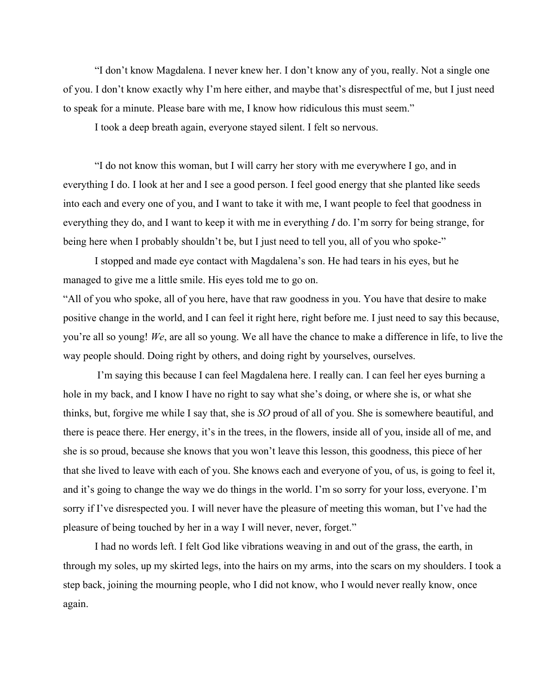"I don't know Magdalena. I never knew her. I don't know any of you, really. Not a single one of you. I don't know exactly why I'm here either, and maybe that's disrespectful of me, but I just need to speak for a minute. Please bare with me, I know how ridiculous this must seem."

I took a deep breath again, everyone stayed silent. I felt so nervous.

"I do not know this woman, but I will carry her story with me everywhere I go, and in everything I do. I look at her and I see a good person. I feel good energy that she planted like seeds into each and every one of you, and I want to take it with me, I want people to feel that goodness in everything they do, and I want to keep it with me in everything *I* do. I'm sorry for being strange, for being here when I probably shouldn't be, but I just need to tell you, all of you who spoke-"

I stopped and made eye contact with Magdalena's son. He had tears in his eyes, but he managed to give me a little smile. His eyes told me to go on.

"All of you who spoke, all of you here, have that raw goodness in you. You have that desire to make positive change in the world, and I can feel it right here, right before me. I just need to say this because, you're all so young! *We*, are all so young. We all have the chance to make a difference in life, to live the way people should. Doing right by others, and doing right by yourselves, ourselves.

I'm saying this because I can feel Magdalena here. I really can. I can feel her eyes burning a hole in my back, and I know I have no right to say what she's doing, or where she is, or what she thinks, but, forgive me while I say that, she is *SO* proud of all of you. She is somewhere beautiful, and there is peace there. Her energy, it's in the trees, in the flowers, inside all of you, inside all of me, and she is so proud, because she knows that you won't leave this lesson, this goodness, this piece of her that she lived to leave with each of you. She knows each and everyone of you, of us, is going to feel it, and it's going to change the way we do things in the world. I'm so sorry for your loss, everyone. I'm sorry if I've disrespected you. I will never have the pleasure of meeting this woman, but I've had the pleasure of being touched by her in a way I will never, never, forget."

I had no words left. I felt God like vibrations weaving in and out of the grass, the earth, in through my soles, up my skirted legs, into the hairs on my arms, into the scars on my shoulders. I took a step back, joining the mourning people, who I did not know, who I would never really know, once again.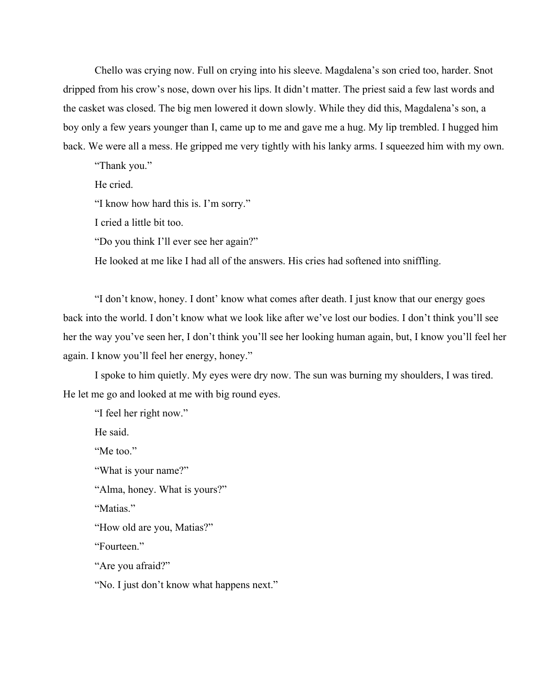Chello was crying now. Full on crying into his sleeve. Magdalena's son cried too, harder. Snot dripped from his crow's nose, down over his lips. It didn't matter. The priest said a few last words and the casket was closed. The big men lowered it down slowly. While they did this, Magdalena's son, a boy only a few years younger than I, came up to me and gave me a hug. My lip trembled. I hugged him back. We were all a mess. He gripped me very tightly with his lanky arms. I squeezed him with my own.

"Thank you."

He cried.

"I know how hard this is. I'm sorry."

I cried a little bit too.

"Do you think I'll ever see her again?"

He looked at me like I had all of the answers. His cries had softened into sniffling.

"I don't know, honey. I dont' know what comes after death. I just know that our energy goes back into the world. I don't know what we look like after we've lost our bodies. I don't think you'll see her the way you've seen her, I don't think you'll see her looking human again, but, I know you'll feel her again. I know you'll feel her energy, honey."

I spoke to him quietly. My eyes were dry now. The sun was burning my shoulders, I was tired. He let me go and looked at me with big round eyes.

"I feel her right now."

He said.

"Me too"

"What is your name?"

"Alma, honey. What is yours?"

"Matias."

"How old are you, Matias?"

"Fourteen."

"Are you afraid?"

"No. I just don't know what happens next."